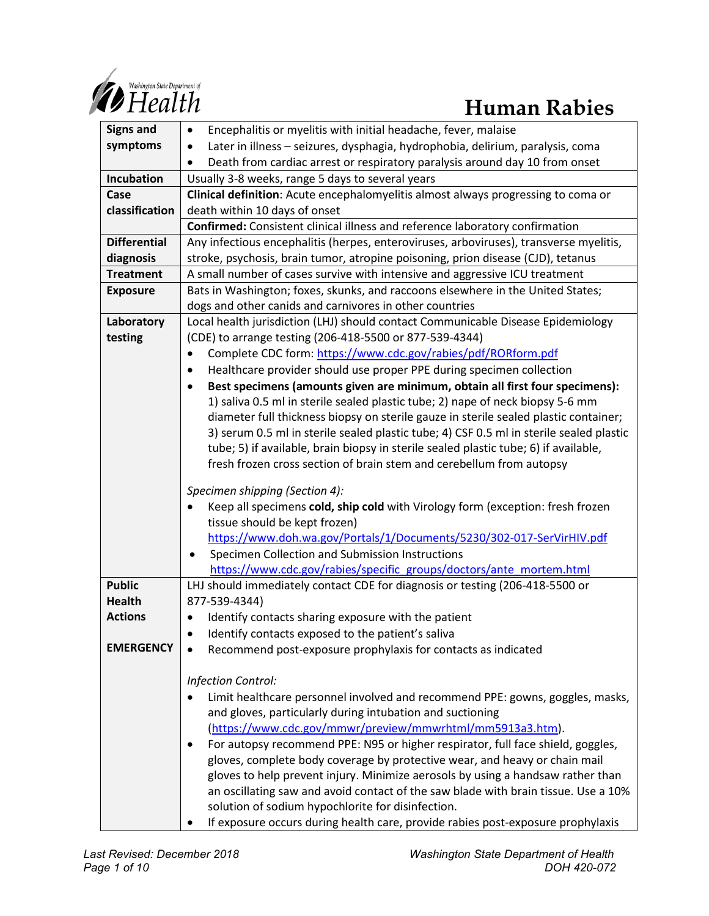

| <b>Signs and</b>    | Encephalitis or myelitis with initial headache, fever, malaise<br>$\bullet$                                                          |  |  |  |  |
|---------------------|--------------------------------------------------------------------------------------------------------------------------------------|--|--|--|--|
| symptoms            | Later in illness - seizures, dysphagia, hydrophobia, delirium, paralysis, coma<br>٠                                                  |  |  |  |  |
|                     | Death from cardiac arrest or respiratory paralysis around day 10 from onset                                                          |  |  |  |  |
| Incubation          | Usually 3-8 weeks, range 5 days to several years                                                                                     |  |  |  |  |
| Case                | Clinical definition: Acute encephalomyelitis almost always progressing to coma or                                                    |  |  |  |  |
| classification      | death within 10 days of onset                                                                                                        |  |  |  |  |
|                     | <b>Confirmed:</b> Consistent clinical illness and reference laboratory confirmation                                                  |  |  |  |  |
| <b>Differential</b> | Any infectious encephalitis (herpes, enteroviruses, arboviruses), transverse myelitis,                                               |  |  |  |  |
| diagnosis           | stroke, psychosis, brain tumor, atropine poisoning, prion disease (CJD), tetanus                                                     |  |  |  |  |
| <b>Treatment</b>    | A small number of cases survive with intensive and aggressive ICU treatment                                                          |  |  |  |  |
| <b>Exposure</b>     | Bats in Washington; foxes, skunks, and raccoons elsewhere in the United States;                                                      |  |  |  |  |
|                     | dogs and other canids and carnivores in other countries                                                                              |  |  |  |  |
| Laboratory          | Local health jurisdiction (LHJ) should contact Communicable Disease Epidemiology                                                     |  |  |  |  |
| testing             | (CDE) to arrange testing (206-418-5500 or 877-539-4344)                                                                              |  |  |  |  |
|                     | Complete CDC form: https://www.cdc.gov/rabies/pdf/RORform.pdf                                                                        |  |  |  |  |
|                     | Healthcare provider should use proper PPE during specimen collection                                                                 |  |  |  |  |
|                     | Best specimens (amounts given are minimum, obtain all first four specimens):                                                         |  |  |  |  |
|                     | 1) saliva 0.5 ml in sterile sealed plastic tube; 2) nape of neck biopsy 5-6 mm                                                       |  |  |  |  |
|                     | diameter full thickness biopsy on sterile gauze in sterile sealed plastic container;                                                 |  |  |  |  |
|                     | 3) serum 0.5 ml in sterile sealed plastic tube; 4) CSF 0.5 ml in sterile sealed plastic                                              |  |  |  |  |
|                     | tube; 5) if available, brain biopsy in sterile sealed plastic tube; 6) if available,                                                 |  |  |  |  |
|                     | fresh frozen cross section of brain stem and cerebellum from autopsy                                                                 |  |  |  |  |
|                     |                                                                                                                                      |  |  |  |  |
|                     |                                                                                                                                      |  |  |  |  |
|                     | Specimen shipping (Section 4):                                                                                                       |  |  |  |  |
|                     | Keep all specimens cold, ship cold with Virology form (exception: fresh frozen                                                       |  |  |  |  |
|                     | tissue should be kept frozen)                                                                                                        |  |  |  |  |
|                     | https://www.doh.wa.gov/Portals/1/Documents/5230/302-017-SerVirHIV.pdf<br>$\bullet$                                                   |  |  |  |  |
|                     | Specimen Collection and Submission Instructions                                                                                      |  |  |  |  |
| <b>Public</b>       | https://www.cdc.gov/rabies/specific groups/doctors/ante mortem.html                                                                  |  |  |  |  |
| <b>Health</b>       | LHJ should immediately contact CDE for diagnosis or testing (206-418-5500 or<br>877-539-4344)                                        |  |  |  |  |
| <b>Actions</b>      | Identify contacts sharing exposure with the patient                                                                                  |  |  |  |  |
|                     | Identify contacts exposed to the patient's saliva                                                                                    |  |  |  |  |
| <b>EMERGENCY</b>    | Recommend post-exposure prophylaxis for contacts as indicated                                                                        |  |  |  |  |
|                     |                                                                                                                                      |  |  |  |  |
|                     | Infection Control:                                                                                                                   |  |  |  |  |
|                     | Limit healthcare personnel involved and recommend PPE: gowns, goggles, masks,                                                        |  |  |  |  |
|                     | and gloves, particularly during intubation and suctioning                                                                            |  |  |  |  |
|                     | (https://www.cdc.gov/mmwr/preview/mmwrhtml/mm5913a3.htm).                                                                            |  |  |  |  |
|                     | For autopsy recommend PPE: N95 or higher respirator, full face shield, goggles,<br>٠                                                 |  |  |  |  |
|                     | gloves, complete body coverage by protective wear, and heavy or chain mail                                                           |  |  |  |  |
|                     | gloves to help prevent injury. Minimize aerosols by using a handsaw rather than                                                      |  |  |  |  |
|                     | an oscillating saw and avoid contact of the saw blade with brain tissue. Use a 10%                                                   |  |  |  |  |
|                     | solution of sodium hypochlorite for disinfection.<br>If exposure occurs during health care, provide rabies post-exposure prophylaxis |  |  |  |  |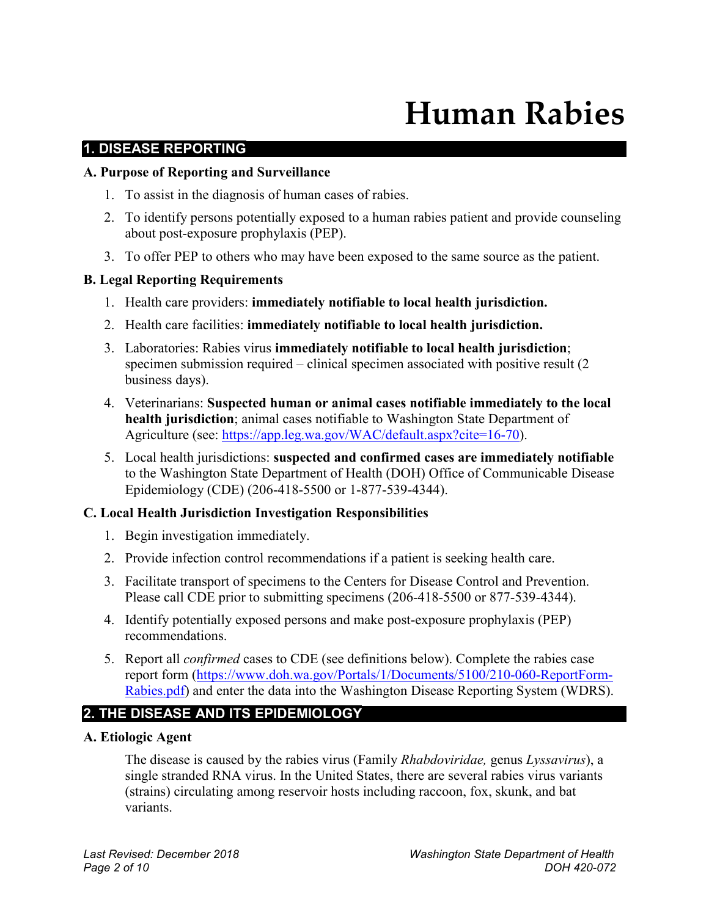# **Human Rabies**

#### **1. DISEASE REPORTING**

#### **A. Purpose of Reporting and Surveillance**

- 1. To assist in the diagnosis of human cases of rabies.
- 2. To identify persons potentially exposed to a human rabies patient and provide counseling about post-exposure prophylaxis (PEP).
- 3. To offer PEP to others who may have been exposed to the same source as the patient.

#### **B. Legal Reporting Requirements**

- 1. Health care providers: **immediately notifiable to local health jurisdiction.**
- 2. Health care facilities: **immediately notifiable to local health jurisdiction.**
- 3. Laboratories: Rabies virus **immediately notifiable to local health jurisdiction**; specimen submission required – clinical specimen associated with positive result (2 business days).
- 4. Veterinarians: **Suspected human or animal cases notifiable immediately to the local health jurisdiction**; animal cases notifiable to Washington State Department of Agriculture (see: [https://app.leg.wa.gov/WAC/default.aspx?cite=16-70\)](https://app.leg.wa.gov/WAC/default.aspx?cite=16-70).
- 5. Local health jurisdictions: **suspected and confirmed cases are immediately notifiable** to the Washington State Department of Health (DOH) Office of Communicable Disease Epidemiology (CDE) (206-418-5500 or 1-877-539-4344).

#### **C. Local Health Jurisdiction Investigation Responsibilities**

- 1. Begin investigation immediately.
- 2. Provide infection control recommendations if a patient is seeking health care.
- 3. Facilitate transport of specimens to the Centers for Disease Control and Prevention. Please call CDE prior to submitting specimens (206-418-5500 or 877-539-4344).
- 4. Identify potentially exposed persons and make post-exposure prophylaxis (PEP) recommendations.
- 5. Report all *confirmed* cases to CDE (see definitions below). Complete the rabies case report form [\(https://www.doh.wa.gov/Portals/1/Documents/5100/210-060-ReportForm-](https://www.doh.wa.gov/Portals/1/Documents/5100/210-060-ReportForm-Rabies.pdf)[Rabies.pdf\)](https://www.doh.wa.gov/Portals/1/Documents/5100/210-060-ReportForm-Rabies.pdf) and enter the data into the Washington Disease Reporting System (WDRS).

# **2. THE DISEASE AND ITS EPIDEMIOLOGY**

#### **A. Etiologic Agent**

The disease is caused by the rabies virus (Family *Rhabdoviridae,* genus *Lyssavirus*), a single stranded RNA virus. In the United States, there are several rabies virus variants (strains) circulating among reservoir hosts including raccoon, fox, skunk, and bat variants.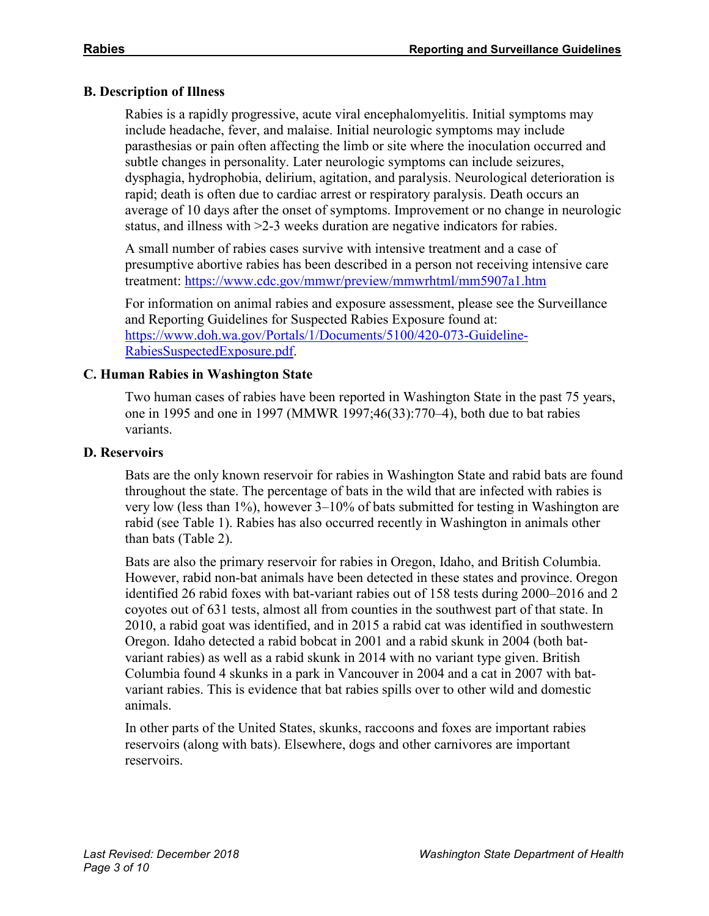### **B. Description of Illness**

Rabies is a rapidly progressive, acute viral encephalomyelitis. Initial symptoms may include headache, fever, and malaise. Initial neurologic symptoms may include parasthesias or pain often affecting the limb or site where the inoculation occurred and subtle changes in personality. Later neurologic symptoms can include seizures, dysphagia, hydrophobia, delirium, agitation, and paralysis. Neurological deterioration is rapid; death is often due to cardiac arrest or respiratory paralysis. Death occurs an average of 10 days after the onset of symptoms. Improvement or no change in neurologic status, and illness with >2-3 weeks duration are negative indicators for rabies.

A small number of rabies cases survive with intensive treatment and a case of presumptive abortive rabies has been described in a person not receiving intensive care treatment:<https://www.cdc.gov/mmwr/preview/mmwrhtml/mm5907a1.htm>

For information on animal rabies and exposure assessment, please see the Surveillance and Reporting Guidelines for Suspected Rabies Exposure found at: [https://www.doh.wa.gov/Portals/1/Documents/5100/420-073-Guideline-](https://www.doh.wa.gov/Portals/1/Documents/5100/420-073-Guideline-RabiesSuspectedExposure.pdf)[RabiesSuspectedExposure.pdf.](https://www.doh.wa.gov/Portals/1/Documents/5100/420-073-Guideline-RabiesSuspectedExposure.pdf)

### **C. Human Rabies in Washington State**

Two human cases of rabies have been reported in Washington State in the past 75 years, one in 1995 and one in 1997 (MMWR 1997;46(33):770–4), both due to bat rabies variants.

#### **D. Reservoirs**

Bats are the only known reservoir for rabies in Washington State and rabid bats are found throughout the state. The percentage of bats in the wild that are infected with rabies is very low (less than 1%), however 3–10% of bats submitted for testing in Washington are rabid (see Table 1). Rabies has also occurred recently in Washington in animals other than bats (Table 2).

Bats are also the primary reservoir for rabies in Oregon, Idaho, and British Columbia. However, rabid non-bat animals have been detected in these states and province. Oregon identified 26 rabid foxes with bat-variant rabies out of 158 tests during 2000–2016 and 2 coyotes out of 631 tests, almost all from counties in the southwest part of that state. In 2010, a rabid goat was identified, and in 2015 a rabid cat was identified in southwestern Oregon. Idaho detected a rabid bobcat in 2001 and a rabid skunk in 2004 (both batvariant rabies) as well as a rabid skunk in 2014 with no variant type given. British Columbia found 4 skunks in a park in Vancouver in 2004 and a cat in 2007 with batvariant rabies. This is evidence that bat rabies spills over to other wild and domestic animals.

In other parts of the United States, skunks, raccoons and foxes are important rabies reservoirs (along with bats). Elsewhere, dogs and other carnivores are important reservoirs.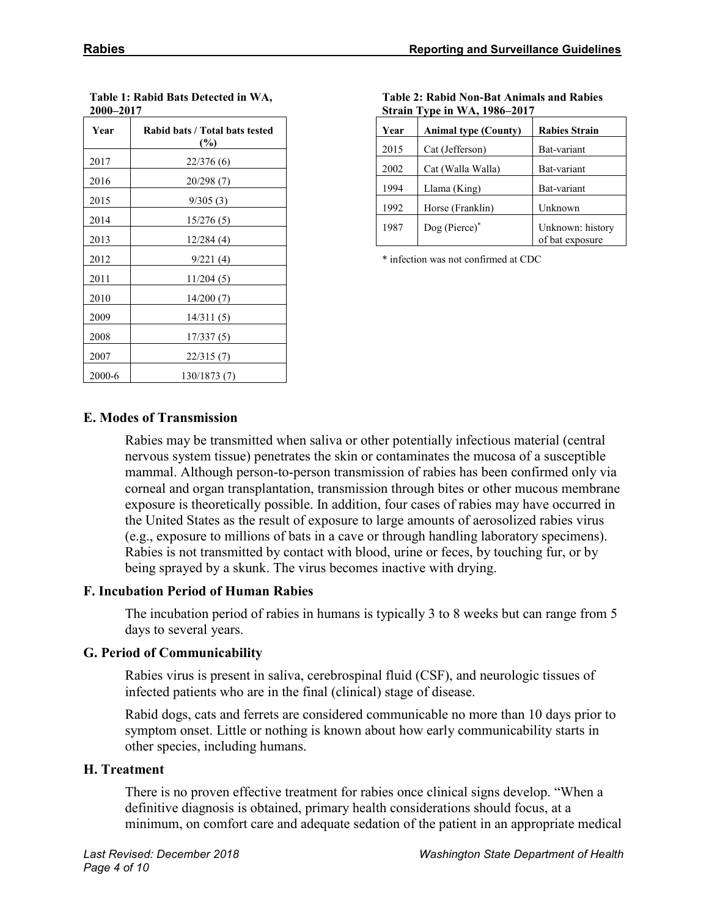| Year   | Rabid bats / Total bats tested<br>(%) |
|--------|---------------------------------------|
| 2017   | 22/376 (6)                            |
| 2016   | 20/298 (7)                            |
| 2015   | 9/305(3)                              |
| 2014   | 15/276(5)                             |
| 2013   | 12/284(4)                             |
| 2012   | 9/221(4)                              |
| 2011   | 11/204(5)                             |
| 2010   | 14/200(7)                             |
| 2009   | 14/311(5)                             |
| 2008   | 17/337(5)                             |
| 2007   | 22/315 (7)                            |
| 2000-6 | 130/1873 (7)                          |

| Table 1: Rabid Bats Detected in WA, |  |  |
|-------------------------------------|--|--|
| 2000-2017                           |  |  |

| Strain Type in WA, 1986-2017 |                                    |                                     |  |  |  |
|------------------------------|------------------------------------|-------------------------------------|--|--|--|
| Year                         | <b>Animal type (County)</b>        | <b>Rabies Strain</b>                |  |  |  |
| 2015                         | Cat (Jefferson)                    | Bat-variant                         |  |  |  |
| 2002                         | Cat (Walla Walla)                  | Bat-variant                         |  |  |  |
| 1994                         | Llama (King)                       | Bat-variant                         |  |  |  |
| 1992                         | Horse (Franklin)                   | Unknown                             |  |  |  |
| 1987                         | $\text{Dog}$ (Pierce) <sup>*</sup> | Unknown: history<br>of bat exposure |  |  |  |

**Table 2: Rabid Non-Bat Animals and Rabies** 

\* infection was not confirmed at CDC

# **E. Modes of Transmission**

Rabies may be transmitted when saliva or other potentially infectious material (central nervous system tissue) penetrates the skin or contaminates the mucosa of a susceptible mammal. Although person-to-person transmission of rabies has been confirmed only via corneal and organ transplantation, transmission through bites or other mucous membrane exposure is theoretically possible. In addition, four cases of rabies may have occurred in the United States as the result of exposure to large amounts of aerosolized rabies virus (e.g., exposure to millions of bats in a cave or through handling laboratory specimens). Rabies is not transmitted by contact with blood, urine or feces, by touching fur, or by being sprayed by a skunk. The virus becomes inactive with drying.

#### **F. Incubation Period of Human Rabies**

The incubation period of rabies in humans is typically 3 to 8 weeks but can range from 5 days to several years.

#### **G. Period of Communicability**

Rabies virus is present in saliva, cerebrospinal fluid (CSF), and neurologic tissues of infected patients who are in the final (clinical) stage of disease.

Rabid dogs, cats and ferrets are considered communicable no more than 10 days prior to symptom onset. Little or nothing is known about how early communicability starts in other species, including humans.

#### **H. Treatment**

There is no proven effective treatment for rabies once clinical signs develop. "When a definitive diagnosis is obtained, primary health considerations should focus, at a minimum, on comfort care and adequate sedation of the patient in an appropriate medical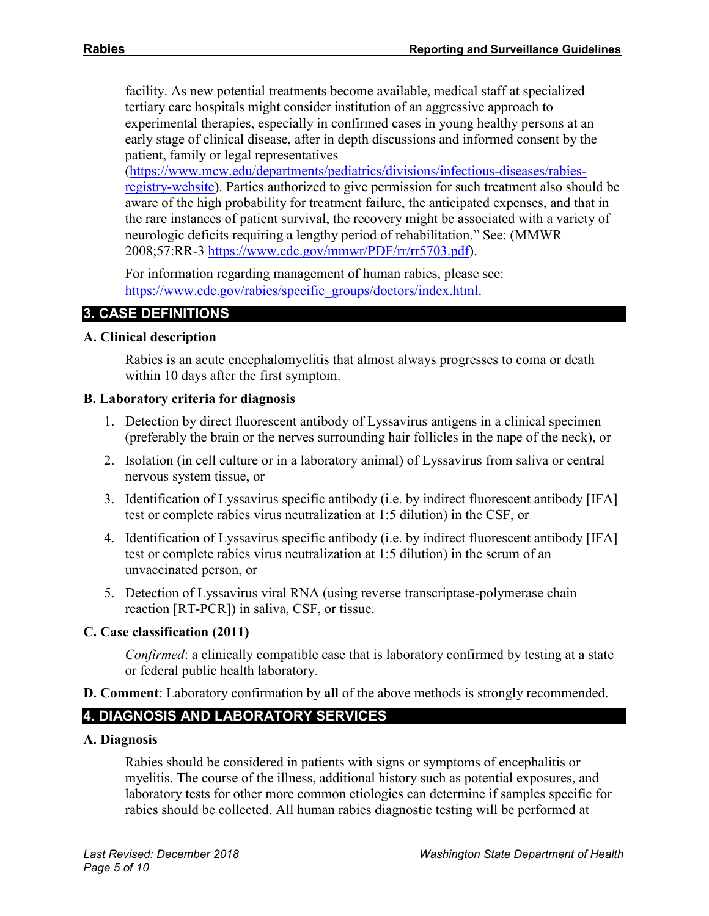facility. As new potential treatments become available, medical staff at specialized tertiary care hospitals might consider institution of an aggressive approach to experimental therapies, especially in confirmed cases in young healthy persons at an early stage of clinical disease, after in depth discussions and informed consent by the patient, family or legal representatives

[\(https://www.mcw.edu/departments/pediatrics/divisions/infectious-diseases/rabies](https://www.mcw.edu/departments/pediatrics/divisions/infectious-diseases/rabies-registry-website)[registry-website\)](https://www.mcw.edu/departments/pediatrics/divisions/infectious-diseases/rabies-registry-website). Parties authorized to give permission for such treatment also should be aware of the high probability for treatment failure, the anticipated expenses, and that in the rare instances of patient survival, the recovery might be associated with a variety of neurologic deficits requiring a lengthy period of rehabilitation." See: (MMWR 2008;57:RR-3 [https://www.cdc.gov/mmwr/PDF/rr/rr5703.pdf\)](https://www.cdc.gov/mmwr/PDF/rr/rr5703.pdf).

For information regarding management of human rabies, please see: [https://www.cdc.gov/rabies/specific\\_groups/doctors/index.html](https://www.cdc.gov/rabies/specific_groups/doctors/index.html).

# **3. CASE DEFINITIONS**

#### **A. Clinical description**

Rabies is an acute encephalomyelitis that almost always progresses to coma or death within 10 days after the first symptom.

#### **B. Laboratory criteria for diagnosis**

- 1. Detection by direct fluorescent antibody of Lyssavirus antigens in a clinical specimen (preferably the brain or the nerves surrounding hair follicles in the nape of the neck), or
- 2. Isolation (in cell culture or in a laboratory animal) of Lyssavirus from saliva or central nervous system tissue, or
- 3. Identification of Lyssavirus specific antibody (i.e. by indirect fluorescent antibody [IFA] test or complete rabies virus neutralization at 1:5 dilution) in the CSF, or
- 4. Identification of Lyssavirus specific antibody (i.e. by indirect fluorescent antibody [IFA] test or complete rabies virus neutralization at 1:5 dilution) in the serum of an unvaccinated person, or
- 5. Detection of Lyssavirus viral RNA (using reverse transcriptase-polymerase chain reaction [RT-PCR]) in saliva, CSF, or tissue.

# **C. Case classification (2011)**

*Confirmed*: a clinically compatible case that is laboratory confirmed by testing at a state or federal public health laboratory.

**D. Comment**: Laboratory confirmation by **all** of the above methods is strongly recommended.

# **4. DIAGNOSIS AND LABORATORY SERVICES**

#### **A. Diagnosis**

Rabies should be considered in patients with signs or symptoms of encephalitis or myelitis. The course of the illness, additional history such as potential exposures, and laboratory tests for other more common etiologies can determine if samples specific for rabies should be collected. All human rabies diagnostic testing will be performed at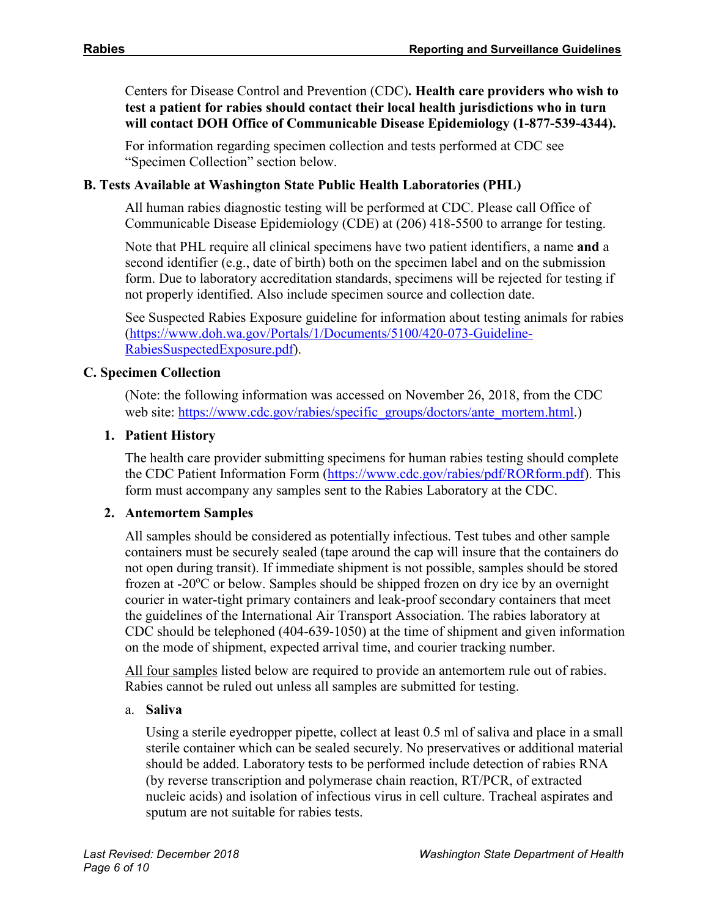Centers for Disease Control and Prevention (CDC)**. Health care providers who wish to test a patient for rabies should contact their local health jurisdictions who in turn will contact DOH Office of Communicable Disease Epidemiology (1-877-539-4344).**

For information regarding specimen collection and tests performed at CDC see "Specimen Collection" section below.

### **B. Tests Available at Washington State Public Health Laboratories (PHL)**

All human rabies diagnostic testing will be performed at CDC. Please call Office of Communicable Disease Epidemiology (CDE) at (206) 418-5500 to arrange for testing.

Note that PHL require all clinical specimens have two patient identifiers, a name **and** a second identifier (e.g., date of birth) both on the specimen label and on the submission form. Due to laboratory accreditation standards, specimens will be rejected for testing if not properly identified. Also include specimen source and collection date.

See Suspected Rabies Exposure guideline for information about testing animals for rabies [\(https://www.doh.wa.gov/Portals/1/Documents/5100/420-073-Guideline-](https://www.doh.wa.gov/Portals/1/Documents/5100/420-073-Guideline-RabiesSuspectedExposure.pdf)[RabiesSuspectedExposure.pdf\)](https://www.doh.wa.gov/Portals/1/Documents/5100/420-073-Guideline-RabiesSuspectedExposure.pdf).

#### **C. Specimen Collection**

(Note: the following information was accessed on November 26, 2018, from the CDC web site: [https://www.cdc.gov/rabies/specific\\_groups/doctors/ante\\_mortem.html](https://www.cdc.gov/rabies/specific_groups/doctors/ante_mortem.html).)

### **1. Patient History**

The health care provider submitting specimens for human rabies testing should complete the CDC Patient Information Form [\(https://www.cdc.gov/rabies/pdf/RORform.pdf\)](https://www.cdc.gov/rabies/pdf/RORform.pdf). This form must accompany any samples sent to the Rabies Laboratory at the CDC.

#### **2. Antemortem Samples**

All samples should be considered as potentially infectious. Test tubes and other sample containers must be securely sealed (tape around the cap will insure that the containers do not open during transit). If immediate shipment is not possible, samples should be stored frozen at -20°C or below. Samples should be shipped frozen on dry ice by an overnight courier in water-tight primary containers and leak-proof secondary containers that meet the guidelines of the International Air Transport Association. The rabies laboratory at CDC should be telephoned (404-639-1050) at the time of shipment and given information on the mode of shipment, expected arrival time, and courier tracking number.

All four samples listed below are required to provide an antemortem rule out of rabies. Rabies cannot be ruled out unless all samples are submitted for testing.

#### a. **Saliva**

Using a sterile eyedropper pipette, collect at least 0.5 ml of saliva and place in a small sterile container which can be sealed securely. No preservatives or additional material should be added. Laboratory tests to be performed include detection of rabies RNA (by reverse transcription and polymerase chain reaction, RT/PCR, of extracted nucleic acids) and isolation of infectious virus in cell culture. Tracheal aspirates and sputum are not suitable for rabies tests.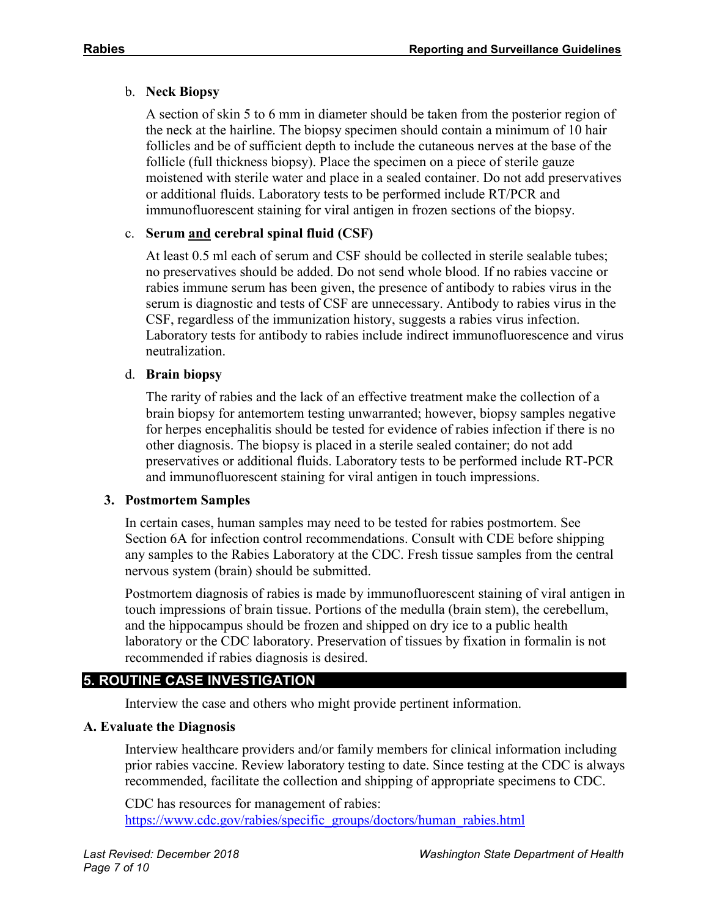## b. **Neck Biopsy**

A section of skin 5 to 6 mm in diameter should be taken from the posterior region of the neck at the hairline. The biopsy specimen should contain a minimum of 10 hair follicles and be of sufficient depth to include the cutaneous nerves at the base of the follicle (full thickness biopsy). Place the specimen on a piece of sterile gauze moistened with sterile water and place in a sealed container. Do not add preservatives or additional fluids. Laboratory tests to be performed include RT/PCR and immunofluorescent staining for viral antigen in frozen sections of the biopsy.

# c. **Serum and cerebral spinal fluid (CSF)**

At least 0.5 ml each of serum and CSF should be collected in sterile sealable tubes; no preservatives should be added. Do not send whole blood. If no rabies vaccine or rabies immune serum has been given, the presence of antibody to rabies virus in the serum is diagnostic and tests of CSF are unnecessary. Antibody to rabies virus in the CSF, regardless of the immunization history, suggests a rabies virus infection. Laboratory tests for antibody to rabies include indirect immunofluorescence and virus neutralization.

# d. **Brain biopsy**

The rarity of rabies and the lack of an effective treatment make the collection of a brain biopsy for antemortem testing unwarranted; however, biopsy samples negative for herpes encephalitis should be tested for evidence of rabies infection if there is no other diagnosis. The biopsy is placed in a sterile sealed container; do not add preservatives or additional fluids. Laboratory tests to be performed include RT-PCR and immunofluorescent staining for viral antigen in touch impressions.

# **3. Postmortem Samples**

In certain cases, human samples may need to be tested for rabies postmortem. See Section 6A for infection control recommendations. Consult with CDE before shipping any samples to the Rabies Laboratory at the CDC. Fresh tissue samples from the central nervous system (brain) should be submitted.

Postmortem diagnosis of rabies is made by immunofluorescent staining of viral antigen in touch impressions of brain tissue. Portions of the medulla (brain stem), the cerebellum, and the hippocampus should be frozen and shipped on dry ice to a public health laboratory or the CDC laboratory. Preservation of tissues by fixation in formalin is not recommended if rabies diagnosis is desired.

# **5. ROUTINE CASE INVESTIGATION**

Interview the case and others who might provide pertinent information.

# **A. Evaluate the Diagnosis**

Interview healthcare providers and/or family members for clinical information including prior rabies vaccine. Review laboratory testing to date. Since testing at the CDC is always recommended, facilitate the collection and shipping of appropriate specimens to CDC.

CDC has resources for management of rabies: [https://www.cdc.gov/rabies/specific\\_groups/doctors/human\\_rabies.html](https://www.cdc.gov/rabies/specific_groups/doctors/human_rabies.html)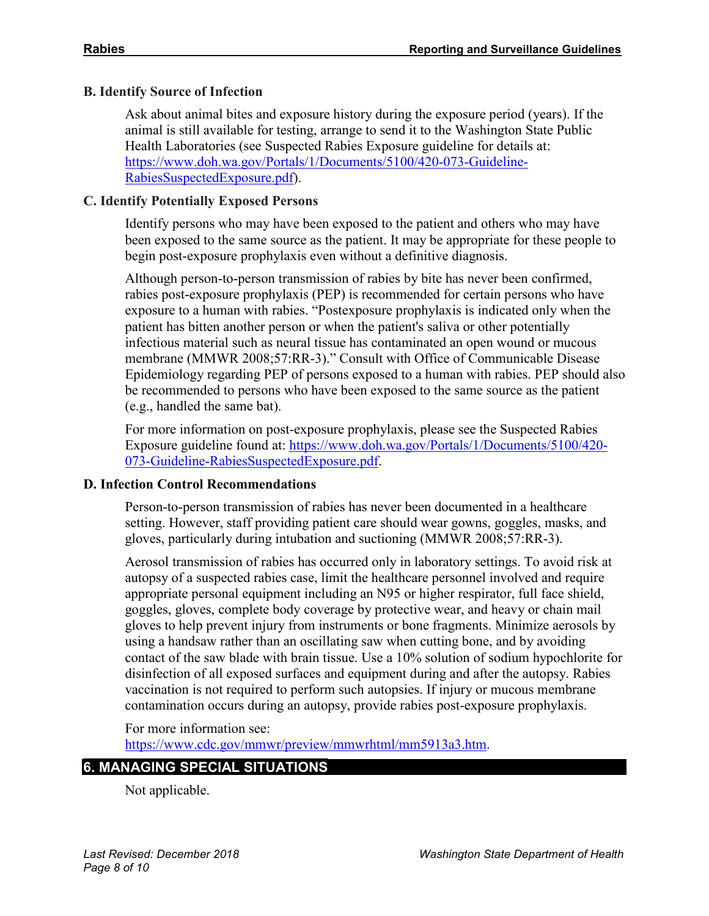## **B. Identify Source of Infection**

Ask about animal bites and exposure history during the exposure period (years). If the animal is still available for testing, arrange to send it to the Washington State Public Health Laboratories (see Suspected Rabies Exposure guideline for details at: [https://www.doh.wa.gov/Portals/1/Documents/5100/420-073-Guideline-](https://www.doh.wa.gov/Portals/1/Documents/5100/420-073-Guideline-RabiesSuspectedExposure.pdf)[RabiesSuspectedExposure.pdf\)](https://www.doh.wa.gov/Portals/1/Documents/5100/420-073-Guideline-RabiesSuspectedExposure.pdf).

### **C. Identify Potentially Exposed Persons**

Identify persons who may have been exposed to the patient and others who may have been exposed to the same source as the patient. It may be appropriate for these people to begin post-exposure prophylaxis even without a definitive diagnosis.

Although person-to-person transmission of rabies by bite has never been confirmed, rabies post-exposure prophylaxis (PEP) is recommended for certain persons who have exposure to a human with rabies. "Postexposure prophylaxis is indicated only when the patient has bitten another person or when the patient's saliva or other potentially infectious material such as neural tissue has contaminated an open wound or mucous membrane (MMWR 2008;57:RR-3)." Consult with Office of Communicable Disease Epidemiology regarding PEP of persons exposed to a human with rabies. PEP should also be recommended to persons who have been exposed to the same source as the patient (e.g., handled the same bat).

For more information on post-exposure prophylaxis, please see the Suspected Rabies Exposure guideline found at: [https://www.doh.wa.gov/Portals/1/Documents/5100/420-](https://www.doh.wa.gov/Portals/1/Documents/5100/420-073-Guideline-RabiesSuspectedExposure.pdf) [073-Guideline-RabiesSuspectedExposure.pdf.](https://www.doh.wa.gov/Portals/1/Documents/5100/420-073-Guideline-RabiesSuspectedExposure.pdf)

# **D. Infection Control Recommendations**

Person-to-person transmission of rabies has never been documented in a healthcare setting. However, staff providing patient care should wear gowns, goggles, masks, and gloves, particularly during intubation and suctioning (MMWR 2008;57:RR-3).

Aerosol transmission of rabies has occurred only in laboratory settings. To avoid risk at autopsy of a suspected rabies case, limit the healthcare personnel involved and require appropriate personal equipment including an N95 or higher respirator, full face shield, goggles, gloves, complete body coverage by protective wear, and heavy or chain mail gloves to help prevent injury from instruments or bone fragments. Minimize aerosols by using a handsaw rather than an oscillating saw when cutting bone, and by avoiding contact of the saw blade with brain tissue. Use a 10% solution of sodium hypochlorite for disinfection of all exposed surfaces and equipment during and after the autopsy. Rabies vaccination is not required to perform such autopsies. If injury or mucous membrane contamination occurs during an autopsy, provide rabies post-exposure prophylaxis.

For more information see: [https://www.cdc.gov/mmwr/preview/mmwrhtml/mm5913a3.htm.](https://www.cdc.gov/mmwr/preview/mmwrhtml/mm5913a3.htm)

# **6. MANAGING SPECIAL SITUATIONS**

Not applicable.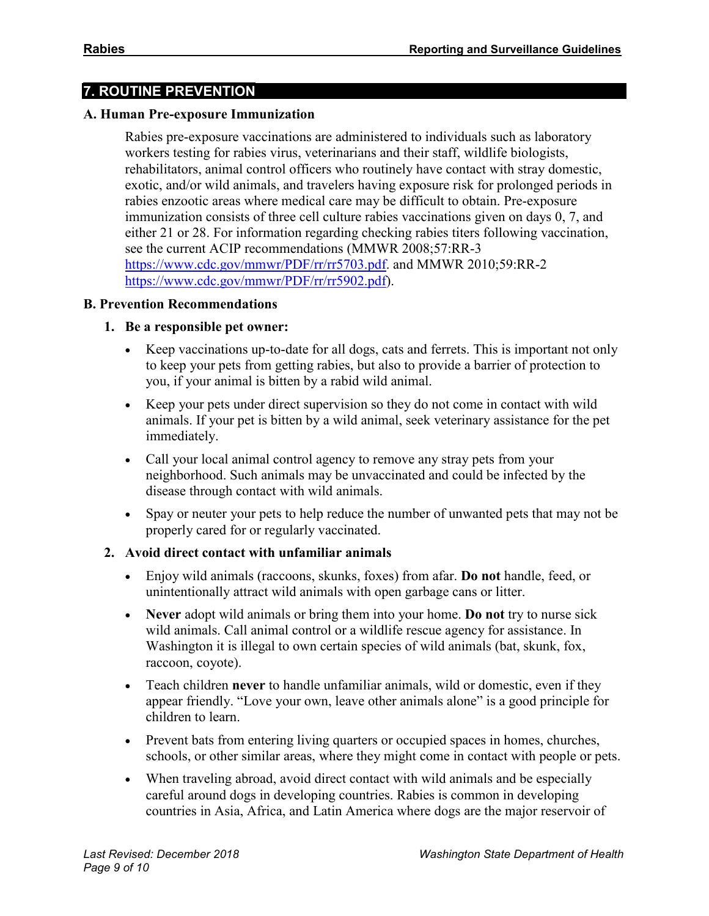# **7. ROUTINE PREVENTION**

#### **A. Human Pre-exposure Immunization**

Rabies pre-exposure vaccinations are administered to individuals such as laboratory workers testing for rabies virus, veterinarians and their staff, wildlife biologists, rehabilitators, animal control officers who routinely have contact with stray domestic, exotic, and/or wild animals, and travelers having exposure risk for prolonged periods in rabies enzootic areas where medical care may be difficult to obtain. Pre-exposure immunization consists of three cell culture rabies vaccinations given on days 0, 7, and either 21 or 28. For information regarding checking rabies titers following vaccination, see the current ACIP recommendations (MMWR 2008;57:RR-3 [https://www.cdc.gov/mmwr/PDF/rr/rr5703.pdf.](https://www.cdc.gov/mmwr/PDF/rr/rr5703.pdf) and MMWR 2010;59:RR-2 [https://www.cdc.gov/mmwr/PDF/rr/rr5902.pdf\)](https://www.cdc.gov/mmwr/PDF/rr/rr5902.pdf).

#### **B. Prevention Recommendations**

### **1. Be a responsible pet owner:**

- Keep vaccinations up-to-date for all dogs, cats and ferrets. This is important not only to keep your pets from getting rabies, but also to provide a barrier of protection to you, if your animal is bitten by a rabid wild animal.
- Keep your pets under direct supervision so they do not come in contact with wild animals. If your pet is bitten by a wild animal, seek veterinary assistance for the pet immediately.
- Call your local animal control agency to remove any stray pets from your neighborhood. Such animals may be unvaccinated and could be infected by the disease through contact with wild animals.
- Spay or neuter your pets to help reduce the number of unwanted pets that may not be properly cared for or regularly vaccinated.

# **2. Avoid direct contact with unfamiliar animals**

- Enjoy wild animals (raccoons, skunks, foxes) from afar. **Do not** handle, feed, or unintentionally attract wild animals with open garbage cans or litter.
- **Never** adopt wild animals or bring them into your home. **Do not** try to nurse sick wild animals. Call animal control or a wildlife rescue agency for assistance. In Washington it is illegal to own certain species of wild animals (bat, skunk, fox, raccoon, coyote).
- Teach children **never** to handle unfamiliar animals, wild or domestic, even if they appear friendly. "Love your own, leave other animals alone" is a good principle for children to learn.
- Prevent bats from entering living quarters or occupied spaces in homes, churches, schools, or other similar areas, where they might come in contact with people or pets.
- When traveling abroad, avoid direct contact with wild animals and be especially careful around dogs in developing countries. Rabies is common in developing countries in Asia, Africa, and Latin America where dogs are the major reservoir of